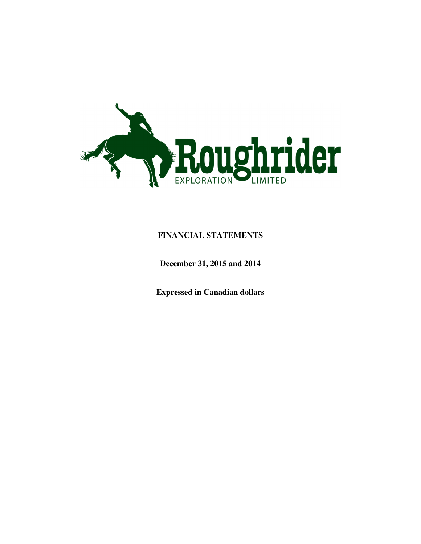

# **FINANCIAL STATEMENTS**

**December 31, 2015 and 2014** 

**Expressed in Canadian dollars**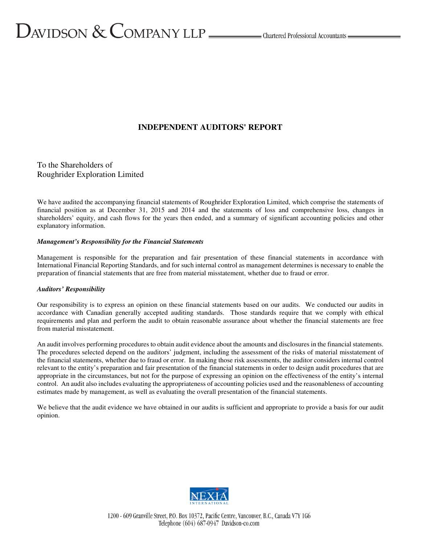## **INDEPENDENT AUDITORS' REPORT**

To the Shareholders of Roughrider Exploration Limited

We have audited the accompanying financial statements of Roughrider Exploration Limited, which comprise the statements of financial position as at December 31, 2015 and 2014 and the statements of loss and comprehensive loss, changes in shareholders' equity, and cash flows for the years then ended, and a summary of significant accounting policies and other explanatory information.

### *Management's Responsibility for the Financial Statements*

Management is responsible for the preparation and fair presentation of these financial statements in accordance with International Financial Reporting Standards, and for such internal control as management determines is necessary to enable the preparation of financial statements that are free from material misstatement, whether due to fraud or error.

### *Auditors' Responsibility*

Our responsibility is to express an opinion on these financial statements based on our audits. We conducted our audits in accordance with Canadian generally accepted auditing standards. Those standards require that we comply with ethical requirements and plan and perform the audit to obtain reasonable assurance about whether the financial statements are free from material misstatement.

An audit involves performing procedures to obtain audit evidence about the amounts and disclosures in the financial statements. The procedures selected depend on the auditors' judgment, including the assessment of the risks of material misstatement of the financial statements, whether due to fraud or error. In making those risk assessments, the auditor considers internal control relevant to the entity's preparation and fair presentation of the financial statements in order to design audit procedures that are appropriate in the circumstances, but not for the purpose of expressing an opinion on the effectiveness of the entity's internal control. An audit also includes evaluating the appropriateness of accounting policies used and the reasonableness of accounting estimates made by management, as well as evaluating the overall presentation of the financial statements.

We believe that the audit evidence we have obtained in our audits is sufficient and appropriate to provide a basis for our audit opinion.

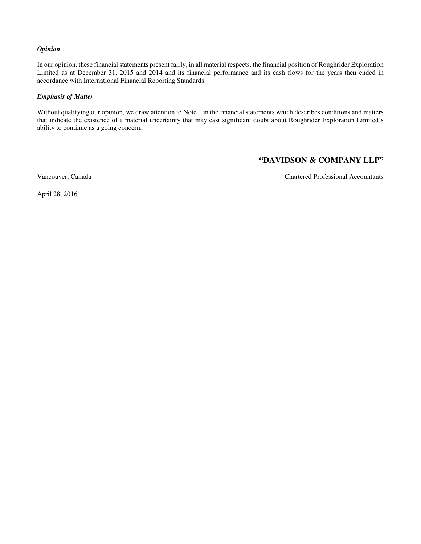#### *Opinion*

In our opinion, these financial statements present fairly, in all material respects, the financial position of Roughrider Exploration Limited as at December 31, 2015 and 2014 and its financial performance and its cash flows for the years then ended in accordance with International Financial Reporting Standards.

#### *Emphasis of Matter*

Without qualifying our opinion, we draw attention to Note 1 in the financial statements which describes conditions and matters that indicate the existence of a material uncertainty that may cast significant doubt about Roughrider Exploration Limited's ability to continue as a going concern.

## **"DAVIDSON & COMPANY LLP"**

Vancouver, Canada Chartered Professional Accountants

April 28, 2016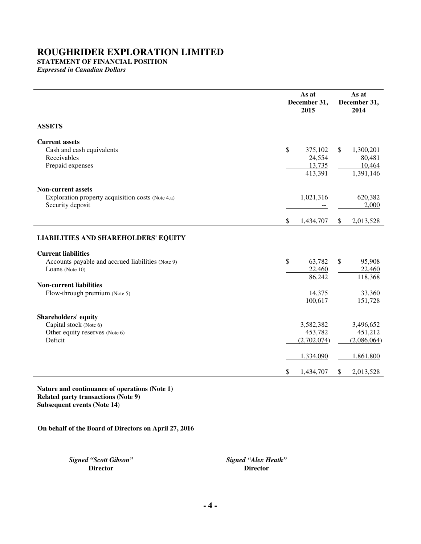**STATEMENT OF FINANCIAL POSITION** 

*Expressed in Canadian Dollars* 

|                                                   | As at<br>December 31,<br>2015 | As at<br>December 31,<br>2014 |
|---------------------------------------------------|-------------------------------|-------------------------------|
| <b>ASSETS</b>                                     |                               |                               |
| <b>Current assets</b>                             |                               |                               |
| Cash and cash equivalents<br>Receivables          | \$<br>375,102<br>24,554       | 1,300,201<br>\$<br>80,481     |
| Prepaid expenses                                  | 13,735                        | 10,464                        |
|                                                   | 413,391                       | 1,391,146                     |
| <b>Non-current assets</b>                         |                               |                               |
| Exploration property acquisition costs (Note 4.a) | 1,021,316                     | 620,382                       |
| Security deposit                                  |                               | 2,000                         |
|                                                   | \$<br>1,434,707               | \$<br>2,013,528               |
| <b>LIABILITIES AND SHAREHOLDERS' EQUITY</b>       |                               |                               |
| <b>Current liabilities</b>                        |                               |                               |
| Accounts payable and accrued liabilities (Note 9) | \$<br>63,782                  | \$<br>95,908                  |
| Loans (Note 10)                                   | 22,460                        | 22,460                        |
| <b>Non-current liabilities</b>                    | 86,242                        | 118,368                       |
| Flow-through premium (Note 5)                     | 14,375                        | 33,360                        |
|                                                   | 100,617                       | 151,728                       |
| <b>Shareholders' equity</b>                       |                               |                               |
| Capital stock (Note 6)                            | 3,582,382                     | 3,496,652                     |
| Other equity reserves (Note 6)                    | 453,782                       | 451,212                       |
| Deficit                                           | (2,702,074)                   | (2,086,064)                   |
|                                                   | 1,334,090                     | 1,861,800                     |
|                                                   | \$<br>1,434,707               | 2,013,528<br>\$               |

**Nature and continuance of operations (Note 1) Related party transactions (Note 9) Subsequent events (Note 14)** 

**On behalf of the Board of Directors on April 27, 2016** 

*Signed "Scott Gibson" Signed "Alex Heath"* 

**Director Director**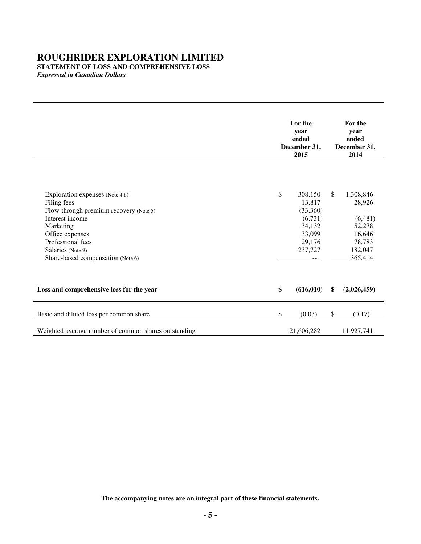**STATEMENT OF LOSS AND COMPREHENSIVE LOSS**  *Expressed in Canadian Dollars* 

|                                                                                                                                                                                                                            | For the<br>year<br>ended<br>December 31,<br>2015                                        |    | For the<br>year<br>ended<br>December 31,<br>2014                                    |  |
|----------------------------------------------------------------------------------------------------------------------------------------------------------------------------------------------------------------------------|-----------------------------------------------------------------------------------------|----|-------------------------------------------------------------------------------------|--|
| Exploration expenses (Note 4.b)<br>Filing fees<br>Flow-through premium recovery (Note 5)<br>Interest income<br>Marketing<br>Office expenses<br>Professional fees<br>Salaries (Note 9)<br>Share-based compensation (Note 6) | \$<br>308,150<br>13,817<br>(33,360)<br>(6,731)<br>34,132<br>33,099<br>29,176<br>237,727 | \$ | 1,308,846<br>28,926<br>(6, 481)<br>52,278<br>16,646<br>78,783<br>182,047<br>365,414 |  |
| Loss and comprehensive loss for the year                                                                                                                                                                                   | \$<br>(616, 010)                                                                        | \$ | (2,026,459)                                                                         |  |
| Basic and diluted loss per common share                                                                                                                                                                                    | \$<br>(0.03)                                                                            | \$ | (0.17)                                                                              |  |
| Weighted average number of common shares outstanding                                                                                                                                                                       | 21,606,282                                                                              |    | 11,927,741                                                                          |  |

**The accompanying notes are an integral part of these financial statements.**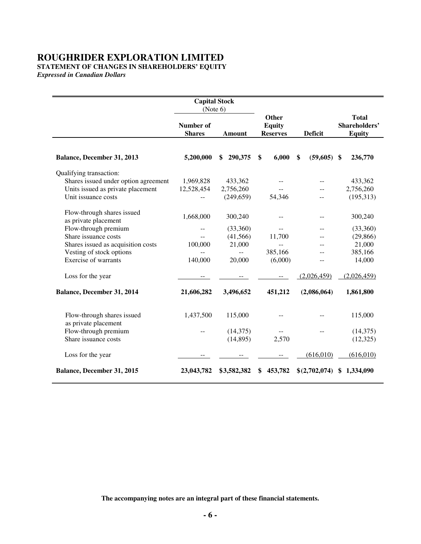## **STATEMENT OF CHANGES IN SHAREHOLDERS' EQUITY**

*Expressed in Canadian Dollars* 

|                                                                | <b>Capital Stock</b>              | (Note 6)                           |                                                  |                     |                                                |
|----------------------------------------------------------------|-----------------------------------|------------------------------------|--------------------------------------------------|---------------------|------------------------------------------------|
|                                                                | <b>Number of</b><br><b>Shares</b> | Amount                             | <b>Other</b><br><b>Equity</b><br><b>Reserves</b> | <b>Deficit</b>      | <b>Total</b><br>Shareholders'<br><b>Equity</b> |
| Balance, December 31, 2013                                     | 5,200,000                         | 290,375<br>\$                      | 6,000<br>\$                                      | \$<br>$(59,605)$ \$ | 236,770                                        |
| Qualifying transaction:                                        |                                   |                                    |                                                  |                     |                                                |
| Shares issued under option agreement                           | 1,969,828                         | 433,362                            |                                                  |                     | 433,362                                        |
| Units issued as private placement                              | 12,528,454                        | 2,756,260                          |                                                  |                     | 2,756,260                                      |
| Unit issuance costs                                            |                                   | (249, 659)                         | 54,346                                           |                     | (195,313)                                      |
| Flow-through shares issued                                     | 1,668,000                         | 300,240                            |                                                  | --                  | 300,240                                        |
| as private placement                                           |                                   |                                    |                                                  |                     |                                                |
| Flow-through premium                                           | $-1$                              | (33,360)                           |                                                  |                     | (33,360)                                       |
| Share issuance costs                                           | $-$                               | (41, 566)                          | 11,700<br>$\sim$                                 |                     | (29, 866)                                      |
| Shares issued as acquisition costs<br>Vesting of stock options | 100,000                           | 21,000                             | 385,166                                          |                     | 21,000<br>385,166                              |
| <b>Exercise of warrants</b>                                    | 140,000                           | $\overline{\phantom{a}}$<br>20,000 | (6,000)                                          |                     | 14,000                                         |
| Loss for the year                                              |                                   |                                    |                                                  | (2,026,459)         | (2,026,459)                                    |
| Balance, December 31, 2014                                     | 21,606,282                        | 3,496,652                          | 451,212                                          | (2,086,064)         | 1,861,800                                      |
| Flow-through shares issued<br>as private placement             | 1,437,500                         | 115,000                            |                                                  |                     | 115,000                                        |
| Flow-through premium<br>Share issuance costs                   |                                   | (14,375)<br>(14,895)               | 2,570                                            |                     | (14,375)<br>(12, 325)                          |
| Loss for the year                                              |                                   |                                    |                                                  | (616,010)           | (616,010)                                      |
| <b>Balance, December 31, 2015</b>                              | 23,043,782                        | \$3,582,382                        | 453,782<br>\$                                    | \$(2,702,074)       | 1,334,090<br><sup>\$</sup>                     |

**The accompanying notes are an integral part of these financial statements.**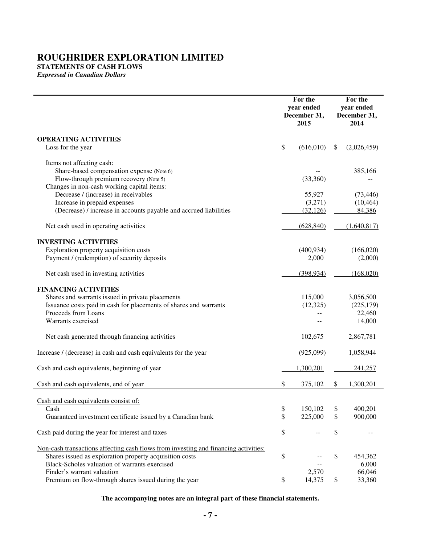**STATEMENTS OF CASH FLOWS**  *Expressed in Canadian Dollars* 

|                                                                                     | For the<br>year ended<br>December 31,<br>2015 |            | For the<br>year ended<br>December 31,<br>2014 |             |
|-------------------------------------------------------------------------------------|-----------------------------------------------|------------|-----------------------------------------------|-------------|
| <b>OPERATING ACTIVITIES</b>                                                         |                                               |            |                                               |             |
| Loss for the year                                                                   | \$                                            | (616,010)  | \$                                            | (2,026,459) |
| Items not affecting cash:                                                           |                                               |            |                                               |             |
| Share-based compensation expense (Note 6)                                           |                                               |            |                                               | 385,166     |
| Flow-through premium recovery (Note 5)                                              |                                               | (33,360)   |                                               |             |
| Changes in non-cash working capital items:                                          |                                               |            |                                               |             |
| Decrease / (increase) in receivables                                                |                                               | 55,927     |                                               | (73, 446)   |
| Increase in prepaid expenses                                                        |                                               | (3,271)    |                                               | (10, 464)   |
| (Decrease) / increase in accounts payable and accrued liabilities                   |                                               | (32, 126)  |                                               | 84,386      |
| Net cash used in operating activities                                               |                                               | (628, 840) |                                               | (1,640,817) |
| <b>INVESTING ACTIVITIES</b>                                                         |                                               |            |                                               |             |
| Exploration property acquisition costs                                              |                                               | (400, 934) |                                               | (166,020)   |
| Payment / (redemption) of security deposits                                         |                                               | 2,000      |                                               | (2,000)     |
| Net cash used in investing activities                                               |                                               | (398, 934) |                                               | (168,020)   |
| <b>FINANCING ACTIVITIES</b>                                                         |                                               |            |                                               |             |
| Shares and warrants issued in private placements                                    |                                               | 115,000    |                                               | 3,056,500   |
| Issuance costs paid in cash for placements of shares and warrants                   |                                               | (12, 325)  |                                               | (225, 179)  |
| Proceeds from Loans                                                                 |                                               |            |                                               | 22,460      |
| Warrants exercised                                                                  |                                               |            |                                               | 14,000      |
| Net cash generated through financing activities                                     |                                               | 102,675    |                                               | 2,867,781   |
| Increase / (decrease) in cash and cash equivalents for the year                     |                                               | (925,099)  |                                               | 1,058,944   |
| Cash and cash equivalents, beginning of year                                        |                                               | 1,300,201  |                                               | 241,257     |
| Cash and cash equivalents, end of year                                              | \$                                            | 375,102    | \$                                            | 1,300,201   |
| Cash and cash equivalents consist of:                                               |                                               |            |                                               |             |
| Cash                                                                                | \$                                            | 150,102    | \$                                            | 400,201     |
| Guaranteed investment certificate issued by a Canadian bank                         | \$                                            | 225,000    | \$                                            | 900,000     |
|                                                                                     |                                               |            |                                               |             |
| Cash paid during the year for interest and taxes                                    | \$                                            |            | \$                                            |             |
| Non-cash transactions affecting cash flows from investing and financing activities: |                                               |            |                                               |             |
| Shares issued as exploration property acquisition costs                             | \$                                            |            | \$                                            | 454,362     |
| Black-Scholes valuation of warrants exercised                                       |                                               |            |                                               | 6,000       |
| Finder's warrant valuation                                                          |                                               | 2,570      |                                               | 66,046      |
| Premium on flow-through shares issued during the year                               | \$                                            | 14,375     | \$                                            | 33,360      |

**The accompanying notes are an integral part of these financial statements.**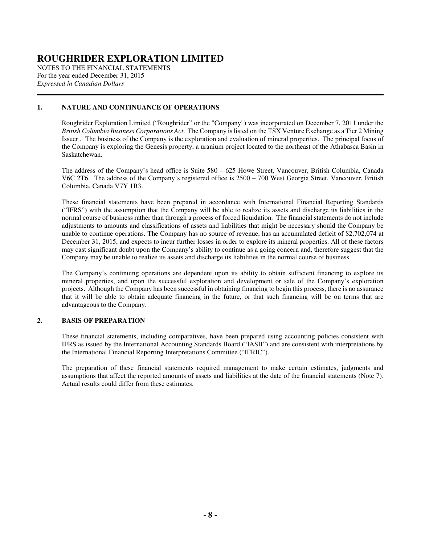NOTES TO THE FINANCIAL STATEMENTS For the year ended December 31, 2015 *Expressed in Canadian Dollars* 

 $\overline{a}$ 

### **1. NATURE AND CONTINUANCE OF OPERATIONS**

Roughrider Exploration Limited ("Roughrider" or the "Company") was incorporated on December 7, 2011 under the *British Columbia Business Corporations Act*. The Company is listed on the TSX Venture Exchange as a Tier 2 Mining Issuer . The business of the Company is the exploration and evaluation of mineral properties. The principal focus of the Company is exploring the Genesis property, a uranium project located to the northeast of the Athabasca Basin in Saskatchewan.

The address of the Company's head office is Suite 580 – 625 Howe Street, Vancouver, British Columbia, Canada V6C 2T6. The address of the Company's registered office is 2500 – 700 West Georgia Street, Vancouver, British Columbia, Canada V7Y 1B3.

 These financial statements have been prepared in accordance with International Financial Reporting Standards ("IFRS") with the assumption that the Company will be able to realize its assets and discharge its liabilities in the normal course of business rather than through a process of forced liquidation. The financial statements do not include adjustments to amounts and classifications of assets and liabilities that might be necessary should the Company be unable to continue operations. The Company has no source of revenue, has an accumulated deficit of \$2,702,074 at December 31, 2015, and expects to incur further losses in order to explore its mineral properties. All of these factors may cast significant doubt upon the Company's ability to continue as a going concern and, therefore suggest that the Company may be unable to realize its assets and discharge its liabilities in the normal course of business.

 The Company's continuing operations are dependent upon its ability to obtain sufficient financing to explore its mineral properties, and upon the successful exploration and development or sale of the Company's exploration projects. Although the Company has been successful in obtaining financing to begin this process, there is no assurance that it will be able to obtain adequate financing in the future, or that such financing will be on terms that are advantageous to the Company.

### **2. BASIS OF PREPARATION**

These financial statements, including comparatives, have been prepared using accounting policies consistent with IFRS as issued by the International Accounting Standards Board ("IASB") and are consistent with interpretations by the International Financial Reporting Interpretations Committee ("IFRIC").

The preparation of these financial statements required management to make certain estimates, judgments and assumptions that affect the reported amounts of assets and liabilities at the date of the financial statements (Note 7). Actual results could differ from these estimates.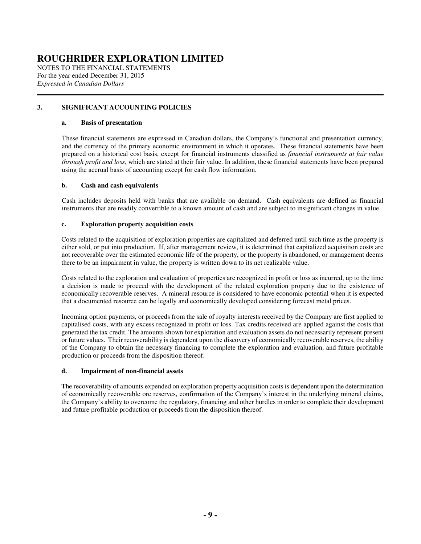NOTES TO THE FINANCIAL STATEMENTS For the year ended December 31, 2015 *Expressed in Canadian Dollars* 

 $\overline{a}$ 

## **3. SIGNIFICANT ACCOUNTING POLICIES**

### **a. Basis of presentation**

These financial statements are expressed in Canadian dollars, the Company's functional and presentation currency, and the currency of the primary economic environment in which it operates. These financial statements have been prepared on a historical cost basis, except for financial instruments classified as *financial instruments at fair value through profit and loss*, which are stated at their fair value. In addition, these financial statements have been prepared using the accrual basis of accounting except for cash flow information.

### **b. Cash and cash equivalents**

Cash includes deposits held with banks that are available on demand. Cash equivalents are defined as financial instruments that are readily convertible to a known amount of cash and are subject to insignificant changes in value.

### **c. Exploration property acquisition costs**

Costs related to the acquisition of exploration properties are capitalized and deferred until such time as the property is either sold, or put into production. If, after management review, it is determined that capitalized acquisition costs are not recoverable over the estimated economic life of the property, or the property is abandoned, or management deems there to be an impairment in value, the property is written down to its net realizable value.

Costs related to the exploration and evaluation of properties are recognized in profit or loss as incurred, up to the time a decision is made to proceed with the development of the related exploration property due to the existence of economically recoverable reserves. A mineral resource is considered to have economic potential when it is expected that a documented resource can be legally and economically developed considering forecast metal prices.

Incoming option payments, or proceeds from the sale of royalty interests received by the Company are first applied to capitalised costs, with any excess recognized in profit or loss. Tax credits received are applied against the costs that generated the tax credit. The amounts shown for exploration and evaluation assets do not necessarily represent present or future values. Their recoverability is dependent upon the discovery of economically recoverable reserves, the ability of the Company to obtain the necessary financing to complete the exploration and evaluation, and future profitable production or proceeds from the disposition thereof.

### **d. Impairment of non-financial assets**

The recoverability of amounts expended on exploration property acquisition costs is dependent upon the determination of economically recoverable ore reserves, confirmation of the Company's interest in the underlying mineral claims, the Company's ability to overcome the regulatory, financing and other hurdles in order to complete their development and future profitable production or proceeds from the disposition thereof.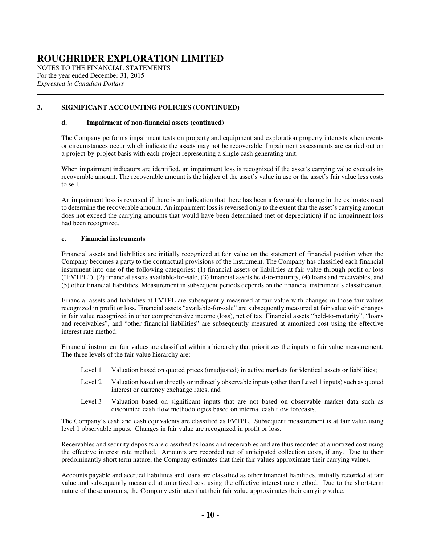NOTES TO THE FINANCIAL STATEMENTS For the year ended December 31, 2015 *Expressed in Canadian Dollars* 

 $\overline{a}$ 

## **3. SIGNIFICANT ACCOUNTING POLICIES (CONTINUED)**

#### **d. Impairment of non-financial assets (continued)**

The Company performs impairment tests on property and equipment and exploration property interests when events or circumstances occur which indicate the assets may not be recoverable. Impairment assessments are carried out on a project-by-project basis with each project representing a single cash generating unit.

When impairment indicators are identified, an impairment loss is recognized if the asset's carrying value exceeds its recoverable amount. The recoverable amount is the higher of the asset's value in use or the asset's fair value less costs to sell.

An impairment loss is reversed if there is an indication that there has been a favourable change in the estimates used to determine the recoverable amount. An impairment loss is reversed only to the extent that the asset's carrying amount does not exceed the carrying amounts that would have been determined (net of depreciation) if no impairment loss had been recognized.

#### **e. Financial instruments**

Financial assets and liabilities are initially recognized at fair value on the statement of financial position when the Company becomes a party to the contractual provisions of the instrument. The Company has classified each financial instrument into one of the following categories: (1) financial assets or liabilities at fair value through profit or loss ("FVTPL"), (2) financial assets available-for-sale, (3) financial assets held-to-maturity, (4) loans and receivables, and (5) other financial liabilities. Measurement in subsequent periods depends on the financial instrument's classification.

Financial assets and liabilities at FVTPL are subsequently measured at fair value with changes in those fair values recognized in profit or loss. Financial assets "available-for-sale" are subsequently measured at fair value with changes in fair value recognized in other comprehensive income (loss), net of tax. Financial assets "held-to-maturity", "loans and receivables", and "other financial liabilities" are subsequently measured at amortized cost using the effective interest rate method.

Financial instrument fair values are classified within a hierarchy that prioritizes the inputs to fair value measurement. The three levels of the fair value hierarchy are:

- Level 1 Valuation based on quoted prices (unadjusted) in active markets for identical assets or liabilities;
- Level 2 Valuation based on directly or indirectly observable inputs (other than Level 1 inputs) such as quoted interest or currency exchange rates; and
- Level 3 Valuation based on significant inputs that are not based on observable market data such as discounted cash flow methodologies based on internal cash flow forecasts.

The Company's cash and cash equivalents are classified as FVTPL. Subsequent measurement is at fair value using level 1 observable inputs. Changes in fair value are recognized in profit or loss.

Receivables and security deposits are classified as loans and receivables and are thus recorded at amortized cost using the effective interest rate method. Amounts are recorded net of anticipated collection costs, if any. Due to their predominantly short term nature, the Company estimates that their fair values approximate their carrying values.

Accounts payable and accrued liabilities and loans are classified as other financial liabilities, initially recorded at fair value and subsequently measured at amortized cost using the effective interest rate method. Due to the short-term nature of these amounts, the Company estimates that their fair value approximates their carrying value.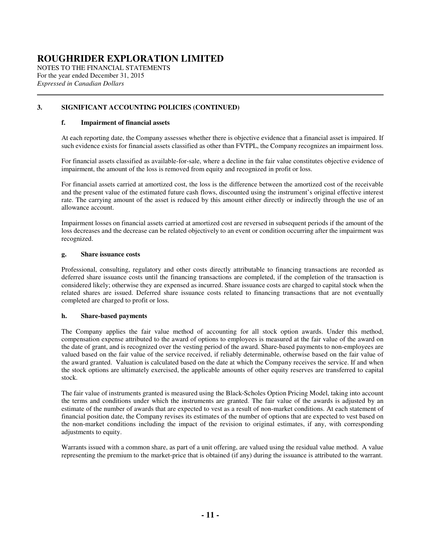NOTES TO THE FINANCIAL STATEMENTS For the year ended December 31, 2015 *Expressed in Canadian Dollars* 

 $\overline{a}$ 

## **3. SIGNIFICANT ACCOUNTING POLICIES (CONTINUED)**

#### **f. Impairment of financial assets**

At each reporting date, the Company assesses whether there is objective evidence that a financial asset is impaired. If such evidence exists for financial assets classified as other than FVTPL, the Company recognizes an impairment loss.

For financial assets classified as available-for-sale, where a decline in the fair value constitutes objective evidence of impairment, the amount of the loss is removed from equity and recognized in profit or loss.

For financial assets carried at amortized cost, the loss is the difference between the amortized cost of the receivable and the present value of the estimated future cash flows, discounted using the instrument's original effective interest rate. The carrying amount of the asset is reduced by this amount either directly or indirectly through the use of an allowance account.

Impairment losses on financial assets carried at amortized cost are reversed in subsequent periods if the amount of the loss decreases and the decrease can be related objectively to an event or condition occurring after the impairment was recognized.

#### **g. Share issuance costs**

Professional, consulting, regulatory and other costs directly attributable to financing transactions are recorded as deferred share issuance costs until the financing transactions are completed, if the completion of the transaction is considered likely; otherwise they are expensed as incurred. Share issuance costs are charged to capital stock when the related shares are issued. Deferred share issuance costs related to financing transactions that are not eventually completed are charged to profit or loss.

### **h. Share-based payments**

The Company applies the fair value method of accounting for all stock option awards. Under this method, compensation expense attributed to the award of options to employees is measured at the fair value of the award on the date of grant, and is recognized over the vesting period of the award. Share-based payments to non-employees are valued based on the fair value of the service received, if reliably determinable, otherwise based on the fair value of the award granted. Valuation is calculated based on the date at which the Company receives the service. If and when the stock options are ultimately exercised, the applicable amounts of other equity reserves are transferred to capital stock.

The fair value of instruments granted is measured using the Black-Scholes Option Pricing Model, taking into account the terms and conditions under which the instruments are granted. The fair value of the awards is adjusted by an estimate of the number of awards that are expected to vest as a result of non-market conditions. At each statement of financial position date, the Company revises its estimates of the number of options that are expected to vest based on the non-market conditions including the impact of the revision to original estimates, if any, with corresponding adjustments to equity.

Warrants issued with a common share, as part of a unit offering, are valued using the residual value method. A value representing the premium to the market-price that is obtained (if any) during the issuance is attributed to the warrant.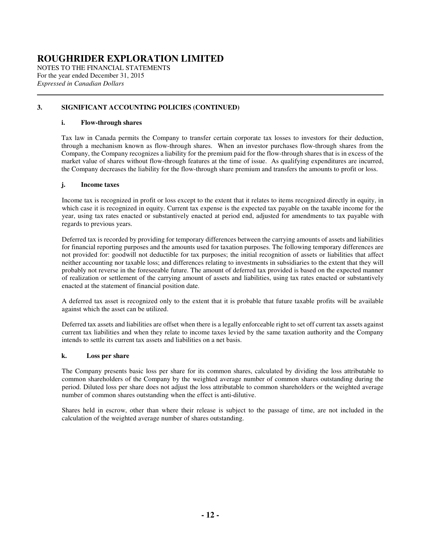NOTES TO THE FINANCIAL STATEMENTS For the year ended December 31, 2015 *Expressed in Canadian Dollars* 

 $\overline{a}$ 

## **3. SIGNIFICANT ACCOUNTING POLICIES (CONTINUED)**

### **i. Flow-through shares**

Tax law in Canada permits the Company to transfer certain corporate tax losses to investors for their deduction, through a mechanism known as flow-through shares. When an investor purchases flow-through shares from the Company, the Company recognizes a liability for the premium paid for the flow-through shares that is in excess of the market value of shares without flow-through features at the time of issue. As qualifying expenditures are incurred, the Company decreases the liability for the flow-through share premium and transfers the amounts to profit or loss.

#### **j. Income taxes**

Income tax is recognized in profit or loss except to the extent that it relates to items recognized directly in equity, in which case it is recognized in equity. Current tax expense is the expected tax payable on the taxable income for the year, using tax rates enacted or substantively enacted at period end, adjusted for amendments to tax payable with regards to previous years.

Deferred tax is recorded by providing for temporary differences between the carrying amounts of assets and liabilities for financial reporting purposes and the amounts used for taxation purposes. The following temporary differences are not provided for: goodwill not deductible for tax purposes; the initial recognition of assets or liabilities that affect neither accounting nor taxable loss; and differences relating to investments in subsidiaries to the extent that they will probably not reverse in the foreseeable future. The amount of deferred tax provided is based on the expected manner of realization or settlement of the carrying amount of assets and liabilities, using tax rates enacted or substantively enacted at the statement of financial position date.

A deferred tax asset is recognized only to the extent that it is probable that future taxable profits will be available against which the asset can be utilized.

Deferred tax assets and liabilities are offset when there is a legally enforceable right to set off current tax assets against current tax liabilities and when they relate to income taxes levied by the same taxation authority and the Company intends to settle its current tax assets and liabilities on a net basis.

### **k. Loss per share**

 The Company presents basic loss per share for its common shares, calculated by dividing the loss attributable to common shareholders of the Company by the weighted average number of common shares outstanding during the period. Diluted loss per share does not adjust the loss attributable to common shareholders or the weighted average number of common shares outstanding when the effect is anti-dilutive.

 Shares held in escrow, other than where their release is subject to the passage of time, are not included in the calculation of the weighted average number of shares outstanding.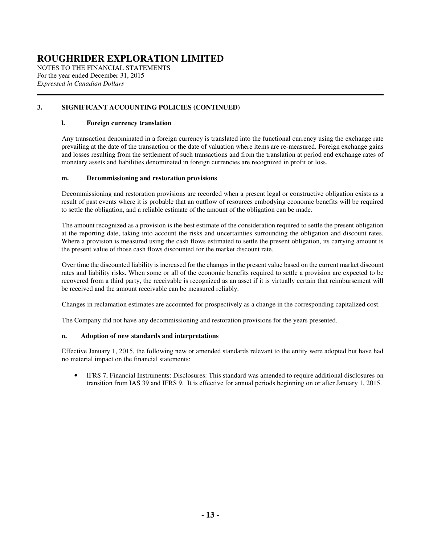NOTES TO THE FINANCIAL STATEMENTS For the year ended December 31, 2015 *Expressed in Canadian Dollars* 

 $\overline{a}$ 

## **3. SIGNIFICANT ACCOUNTING POLICIES (CONTINUED)**

### **l. Foreign currency translation**

Any transaction denominated in a foreign currency is translated into the functional currency using the exchange rate prevailing at the date of the transaction or the date of valuation where items are re-measured. Foreign exchange gains and losses resulting from the settlement of such transactions and from the translation at period end exchange rates of monetary assets and liabilities denominated in foreign currencies are recognized in profit or loss.

### **m. Decommissioning and restoration provisions**

Decommissioning and restoration provisions are recorded when a present legal or constructive obligation exists as a result of past events where it is probable that an outflow of resources embodying economic benefits will be required to settle the obligation, and a reliable estimate of the amount of the obligation can be made.

The amount recognized as a provision is the best estimate of the consideration required to settle the present obligation at the reporting date, taking into account the risks and uncertainties surrounding the obligation and discount rates. Where a provision is measured using the cash flows estimated to settle the present obligation, its carrying amount is the present value of those cash flows discounted for the market discount rate.

Over time the discounted liability is increased for the changes in the present value based on the current market discount rates and liability risks. When some or all of the economic benefits required to settle a provision are expected to be recovered from a third party, the receivable is recognized as an asset if it is virtually certain that reimbursement will be received and the amount receivable can be measured reliably.

Changes in reclamation estimates are accounted for prospectively as a change in the corresponding capitalized cost.

The Company did not have any decommissioning and restoration provisions for the years presented.

## **n. Adoption of new standards and interpretations**

Effective January 1, 2015, the following new or amended standards relevant to the entity were adopted but have had no material impact on the financial statements:

• IFRS 7. Financial Instruments: Disclosures: This standard was amended to require additional disclosures on transition from IAS 39 and IFRS 9. It is effective for annual periods beginning on or after January 1, 2015.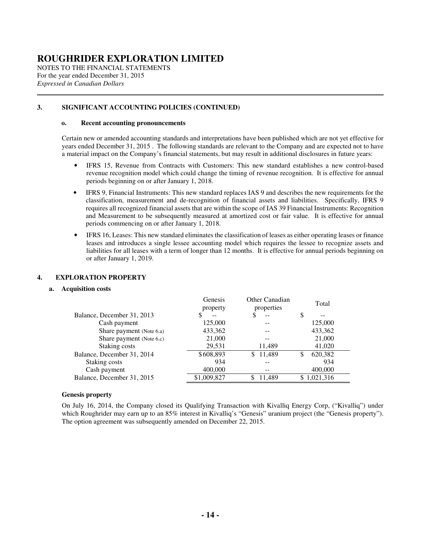NOTES TO THE FINANCIAL STATEMENTS For the year ended December 31, 2015 *Expressed in Canadian Dollars* 

 $\overline{a}$ 

### **3. SIGNIFICANT ACCOUNTING POLICIES (CONTINUED)**

#### **o. Recent accounting pronouncements**

Certain new or amended accounting standards and interpretations have been published which are not yet effective for years ended December 31, 2015 . The following standards are relevant to the Company and are expected not to have a material impact on the Company's financial statements, but may result in additional disclosures in future years:

- IFRS 15, Revenue from Contracts with Customers: This new standard establishes a new control-based revenue recognition model which could change the timing of revenue recognition. It is effective for annual periods beginning on or after January 1, 2018.
- IFRS 9, Financial Instruments: This new standard replaces IAS 9 and describes the new requirements for the classification, measurement and de-recognition of financial assets and liabilities. Specifically, IFRS 9 requires all recognized financial assets that are within the scope of IAS 39 Financial Instruments: Recognition and Measurement to be subsequently measured at amortized cost or fair value. It is effective for annual periods commencing on or after January 1, 2018.
- IFRS 16, Leases: This new standard eliminates the classification of leases as either operating leases or finance leases and introduces a single lessee accounting model which requires the lessee to recognize assets and liabilities for all leases with a term of longer than 12 months. It is effective for annual periods beginning on or after January 1, 2019.

### **4. EXPLORATION PROPERTY**

#### **a. Acquisition costs**

|                            | Genesis<br>property | Other Canadian<br>properties | Total          |
|----------------------------|---------------------|------------------------------|----------------|
| Balance, December 31, 2013 | --                  |                              | S              |
| Cash payment               | 125,000             |                              | 125,000        |
| Share payment (Note 6.a)   | 433,362             |                              | 433,362        |
| Share payment (Note 6.c)   | 21,000              | --                           | 21,000         |
| Staking costs              | 29,531              | 11,489                       | 41,020         |
| Balance, December 31, 2014 | \$608,893           | \$11,489                     | 620,382<br>\$. |
| Staking costs              | 934                 |                              | 934            |
| Cash payment               | 400,000             | --                           | 400,000        |
| Balance, December 31, 2015 | \$1,009,827         | 11,489                       | \$1,021,316    |

#### **Genesis property**

On July 16, 2014, the Company closed its Qualifying Transaction with Kivalliq Energy Corp, ("Kivalliq") under which Roughrider may earn up to an 85% interest in Kivalliq's "Genesis" uranium project (the "Genesis property"). The option agreement was subsequently amended on December 22, 2015.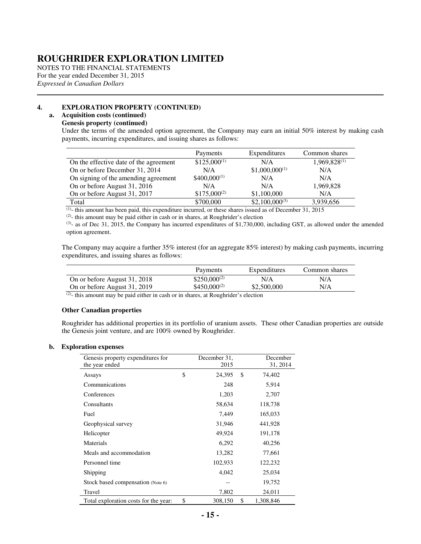NOTES TO THE FINANCIAL STATEMENTS For the year ended December 31, 2015 *Expressed in Canadian Dollars* 

 $\overline{a}$ 

### **4. EXPLORATION PROPERTY (CONTINUED)**

# **a. Acquisition costs (continued)**

## **Genesis property (continued)**

Under the terms of the amended option agreement, the Company may earn an initial 50% interest by making cash payments, incurring expenditures, and issuing shares as follows:

|                                        | Payments         | Expenditures       | Common shares     |
|----------------------------------------|------------------|--------------------|-------------------|
| On the effective date of the agreement | $$125,000^{(1)}$ | N/A                | $1,969,828^{(1)}$ |
| On or before December 31, 2014         | N/A              | $$1,000,000^{(1)}$ | N/A               |
| On signing of the amending agreement   | $$400,000^{(1)}$ | N/A                | N/A               |
| On or before August 31, 2016           | N/A              | N/A                | 1,969,828         |
| On or before August 31, 2017           | $$175,000^{(2)}$ | \$1,100,000        | N/A               |
| Total                                  | \$700,000        | $$2,100,000^{(3)}$ | 3,939,656         |

 $\overline{10}$ - this amount has been paid, this expenditure incurred, or these shares issued as of December 31, 2015

(2)- this amount may be paid either in cash or in shares, at Roughrider's election

 $(3)$ - as of Dec 31, 2015, the Company has incurred expenditures of \$1,730,000, including GST, as allowed under the amended option agreement.

The Company may acquire a further 35% interest (for an aggregate 85% interest) by making cash payments, incurring expenditures, and issuing shares as follows:

|                              | Payments          | Expenditures | Common shares |
|------------------------------|-------------------|--------------|---------------|
| On or before August 31, 2018 | $$250,000^{(2)}$  | N/A          | N/A           |
| On or before August 31, 2019 | $$450,000^{(2)}$$ | \$2,500,000  | N/A           |
| (2)                          |                   |              |               |

(2)- this amount may be paid either in cash or in shares, at Roughrider's election

### **Other Canadian properties**

Roughrider has additional properties in its portfolio of uranium assets. These other Canadian properties are outside the Genesis joint venture, and are 100% owned by Roughrider.

#### **b. Exploration expenses**

| Genesis property expenditures for<br>the year ended | December 31,<br>2015 | December<br>31, 2014 |
|-----------------------------------------------------|----------------------|----------------------|
| Assays                                              | \$<br>24,395         | \$<br>74,402         |
| Communications                                      | 248                  | 5,914                |
| Conferences                                         | 1,203                | 2,707                |
| Consultants                                         | 58,634               | 118,738              |
| Fuel                                                | 7,449                | 165,033              |
| Geophysical survey                                  | 31,946               | 441,928              |
| Helicopter                                          | 49,924               | 191,178              |
| Materials                                           | 6,292                | 40,256               |
| Meals and accommodation                             | 13,282               | 77,661               |
| Personnel time                                      | 102,933              | 122,232              |
| Shipping                                            | 4,042                | 25,034               |
| Stock based compensation (Note 6)                   | $- -$                | 19,752               |
| Travel                                              | 7,802                | 24,011               |
| Total exploration costs for the year:               | \$<br>308,150        | \$<br>1,308,846      |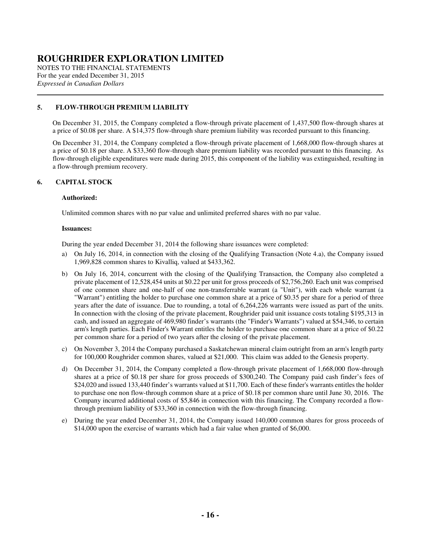NOTES TO THE FINANCIAL STATEMENTS For the year ended December 31, 2015 *Expressed in Canadian Dollars* 

## **5. FLOW-THROUGH PREMIUM LIABILITY**

On December 31, 2015, the Company completed a flow-through private placement of 1,437,500 flow-through shares at a price of \$0.08 per share. A \$14,375 flow-through share premium liability was recorded pursuant to this financing.

On December 31, 2014, the Company completed a flow-through private placement of 1,668,000 flow-through shares at a price of \$0.18 per share. A \$33,360 flow-through share premium liability was recorded pursuant to this financing. As flow-through eligible expenditures were made during 2015, this component of the liability was extinguished, resulting in a flow-through premium recovery.

### **6. CAPITAL STOCK**

 $\overline{a}$ 

#### **Authorized:**

Unlimited common shares with no par value and unlimited preferred shares with no par value.

#### **Issuances:**

During the year ended December 31, 2014 the following share issuances were completed:

- a) On July 16, 2014, in connection with the closing of the Qualifying Transaction (Note 4.a), the Company issued 1,969,828 common shares to Kivalliq, valued at \$433,362.
- b) On July 16, 2014, concurrent with the closing of the Qualifying Transaction, the Company also completed a private placement of 12,528,454 units at \$0.22 per unit for gross proceeds of \$2,756,260. Each unit was comprised of one common share and one-half of one non-transferrable warrant (a "Unit"), with each whole warrant (a "Warrant") entitling the holder to purchase one common share at a price of \$0.35 per share for a period of three years after the date of issuance. Due to rounding, a total of 6,264,226 warrants were issued as part of the units. In connection with the closing of the private placement, Roughrider paid unit issuance costs totaling \$195,313 in cash, and issued an aggregate of 469,980 finder's warrants (the "Finder's Warrants") valued at \$54,346, to certain arm's length parties. Each Finder's Warrant entitles the holder to purchase one common share at a price of \$0.22 per common share for a period of two years after the closing of the private placement.
- c) On November 3, 2014 the Company purchased a Saskatchewan mineral claim outright from an arm's length party for 100,000 Roughrider common shares, valued at \$21,000. This claim was added to the Genesis property.
- d) On December 31, 2014, the Company completed a flow-through private placement of 1,668,000 flow-through shares at a price of \$0.18 per share for gross proceeds of \$300,240. The Company paid cash finder's fees of \$24,020 and issued 133,440 finder's warrants valued at \$11,700. Each of these finder's warrants entitles the holder to purchase one non flow-through common share at a price of \$0.18 per common share until June 30, 2016. The Company incurred additional costs of \$5,846 in connection with this financing. The Company recorded a flowthrough premium liability of \$33,360 in connection with the flow-through financing.
- e) During the year ended December 31, 2014, the Company issued 140,000 common shares for gross proceeds of \$14,000 upon the exercise of warrants which had a fair value when granted of \$6,000.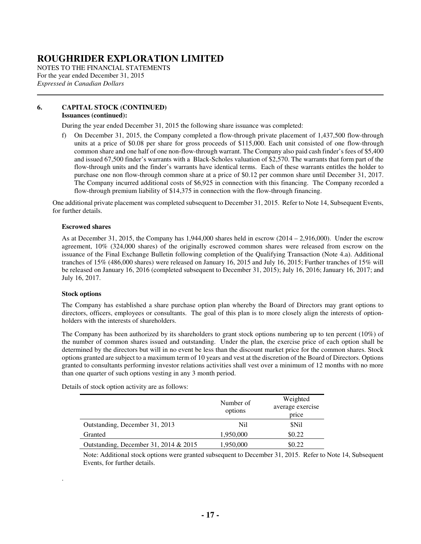NOTES TO THE FINANCIAL STATEMENTS For the year ended December 31, 2015 *Expressed in Canadian Dollars* 

#### **6. CAPITAL STOCK (CONTINUED) Issuances (continued):**

 $\overline{a}$ 

During the year ended December 31, 2015 the following share issuance was completed:

f) On December 31, 2015, the Company completed a flow-through private placement of 1,437,500 flow-through units at a price of \$0.08 per share for gross proceeds of \$115,000. Each unit consisted of one flow-through common share and one half of one non-flow-through warrant. The Company also paid cash finder's fees of \$5,400 and issued 67,500 finder's warrants with a Black-Scholes valuation of \$2,570. The warrants that form part of the flow-through units and the finder's warrants have identical terms. Each of these warrants entitles the holder to purchase one non flow-through common share at a price of \$0.12 per common share until December 31, 2017. The Company incurred additional costs of \$6,925 in connection with this financing. The Company recorded a flow-through premium liability of \$14,375 in connection with the flow-through financing.

One additional private placement was completed subsequent to December 31, 2015. Refer to Note 14, Subsequent Events, for further details.

### **Escrowed shares**

As at December 31, 2015, the Company has 1,944,000 shares held in escrow (2014 – 2,916,000). Under the escrow agreement, 10% (324,000 shares) of the originally escrowed common shares were released from escrow on the issuance of the Final Exchange Bulletin following completion of the Qualifying Transaction (Note 4.a). Additional tranches of 15% (486,000 shares) were released on January 16, 2015 and July 16, 2015; Further tranches of 15% will be released on January 16, 2016 (completed subsequent to December 31, 2015); July 16, 2016; January 16, 2017; and July 16, 2017.

#### **Stock options**

.

The Company has established a share purchase option plan whereby the Board of Directors may grant options to directors, officers, employees or consultants. The goal of this plan is to more closely align the interests of optionholders with the interests of shareholders.

The Company has been authorized by its shareholders to grant stock options numbering up to ten percent (10%) of the number of common shares issued and outstanding. Under the plan, the exercise price of each option shall be determined by the directors but will in no event be less than the discount market price for the common shares. Stock options granted are subject to a maximum term of 10 years and vest at the discretion of the Board of Directors. Options granted to consultants performing investor relations activities shall vest over a minimum of 12 months with no more than one quarter of such options vesting in any 3 month period.

|                                         | Number of<br>options | Weighted<br>average exercise<br>price |
|-----------------------------------------|----------------------|---------------------------------------|
| Outstanding, December 31, 2013          | Nil                  | <b>SNil</b>                           |
| Granted                                 | 1,950,000            | \$0.22                                |
| Outstanding, December 31, 2014 $& 2015$ | 1,950,000            | \$0.22                                |

Details of stock option activity are as follows:

Note: Additional stock options were granted subsequent to December 31, 2015. Refer to Note 14, Subsequent Events, for further details.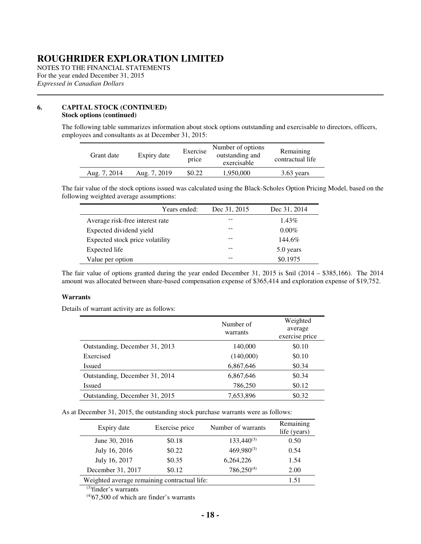NOTES TO THE FINANCIAL STATEMENTS For the year ended December 31, 2015 *Expressed in Canadian Dollars* 

#### **6. CAPITAL STOCK (CONTINUED) Stock options (continued)**

 $\overline{a}$ 

The following table summarizes information about stock options outstanding and exercisable to directors, officers, employees and consultants as at December 31, 2015:

| Grant date   | Expiry date  | Exercise<br>price | Number of options<br>outstanding and<br>exercisable | Remaining<br>contractual life |
|--------------|--------------|-------------------|-----------------------------------------------------|-------------------------------|
| Aug. 7, 2014 | Aug. 7, 2019 | \$0.22            | 1,950,000                                           | $3.63$ years                  |

The fair value of the stock options issued was calculated using the Black-Scholes Option Pricing Model, based on the following weighted average assumptions:

| Years ended:                    | Dec 31, 2015 | Dec 31, 2014 |
|---------------------------------|--------------|--------------|
| Average risk-free interest rate |              | 1.43%        |
| Expected dividend yield         |              | $0.00\%$     |
| Expected stock price volatility | --           | 144.6%       |
| Expected life                   |              | 5.0 years    |
| Value per option                |              | \$0.1975     |

 The fair value of options granted during the year ended December 31, 2015 is \$nil (2014 – \$385,166). The 2014 amount was allocated between share-based compensation expense of \$365,414 and exploration expense of \$19,752.

#### **Warrants**

Details of warrant activity are as follows:

|                                | Number of<br>warrants | Weighted<br>average<br>exercise price |
|--------------------------------|-----------------------|---------------------------------------|
| Outstanding, December 31, 2013 | 140,000               | \$0.10                                |
| Exercised                      | (140,000)             | \$0.10                                |
| Issued                         | 6,867,646             | \$0.34                                |
| Outstanding, December 31, 2014 | 6,867,646             | \$0.34                                |
| Issued                         | 786,250               | \$0.12                                |
| Outstanding, December 31, 2015 | 7,653,896             | \$0.32                                |

As at December 31, 2015, the outstanding stock purchase warrants were as follows:

| Expiry date                                  | Exercise price | Number of warrants | Remaining<br>life (years) |
|----------------------------------------------|----------------|--------------------|---------------------------|
| June 30, 2016                                | \$0.18         | $133,440^{(3)}$    | 0.50                      |
| July 16, 2016                                | \$0.22         | $469,980^{(3)}$    | 0.54                      |
| July 16, 2017                                | \$0.35         | 6,264,226          | 1.54                      |
| December 31, 2017                            | \$0.12         | $786,250^{(4)}$    | 2.00                      |
| Weighted average remaining contractual life: | 1.51           |                    |                           |

(3)finder's warrants

(4)67,500 of which are finder's warrants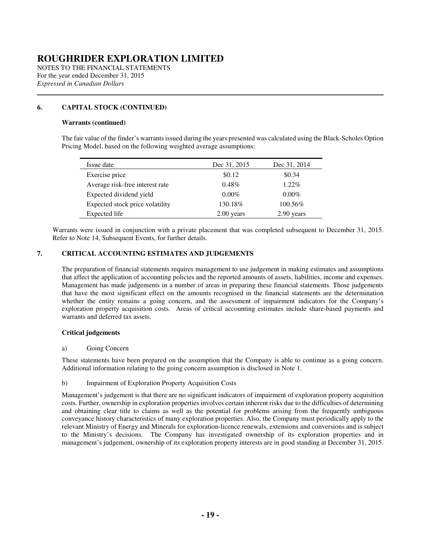NOTES TO THE FINANCIAL STATEMENTS For the year ended December 31, 2015 *Expressed in Canadian Dollars* 

## **6. CAPITAL STOCK (CONTINUED)**

#### **Warrants (continued)**

 $\overline{a}$ 

The fair value of the finder's warrants issued during the years presented was calculated using the Black-Scholes Option Pricing Model, based on the following weighted average assumptions:

| Issue date                      | Dec 31, 2015 | Dec 31, 2014 |
|---------------------------------|--------------|--------------|
| Exercise price                  | \$0.12       | \$0.34       |
| Average risk-free interest rate | $0.48\%$     | $1.22\%$     |
| Expected dividend yield         | $0.00\%$     | $0.00\%$     |
| Expected stock price volatility | 130.18%      | 100.56%      |
| Expected life                   | $2.00$ years | 2.90 years   |

Warrants were issued in conjunction with a private placement that was completed subsequent to December 31, 2015. Refer to Note 14, Subsequent Events, for further details.

## **7. CRITICAL ACCOUNTING ESTIMATES AND JUDGEMENTS**

The preparation of financial statements requires management to use judgement in making estimates and assumptions that affect the application of accounting policies and the reported amounts of assets, liabilities, income and expenses. Management has made judgements in a number of areas in preparing these financial statements. Those judgements that have the most significant effect on the amounts recognised in the financial statements are the determination whether the entity remains a going concern, and the assessment of impairment indicators for the Company's exploration property acquisition costs. Areas of critical accounting estimates include share-based payments and warrants and deferred tax assets.

### **Critical judgements**

#### a) Going Concern

These statements have been prepared on the assumption that the Company is able to continue as a going concern. Additional information relating to the going concern assumption is disclosed in Note 1.

### b) Impairment of Exploration Property Acquisition Costs

Management's judgement is that there are no significant indicators of impairment of exploration property acquisition costs. Further, ownership in exploration properties involves certain inherent risks due to the difficulties of determining and obtaining clear title to claims as well as the potential for problems arising from the frequently ambiguous conveyance history characteristics of many exploration properties. Also, the Company must periodically apply to the relevant Ministry of Energy and Minerals for exploration-licence renewals, extensions and conversions and is subject to the Ministry's decisions. The Company has investigated ownership of its exploration properties and in management's judgement, ownership of its exploration property interests are in good standing at December 31, 2015.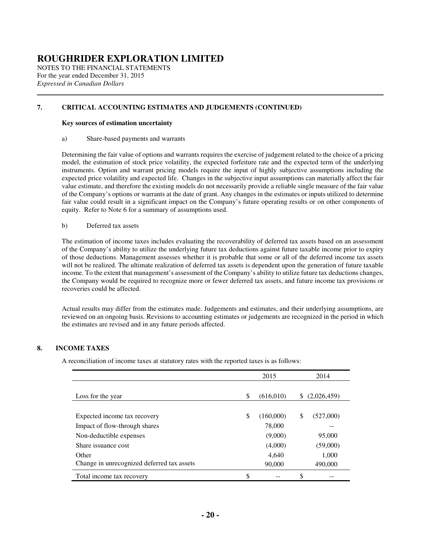NOTES TO THE FINANCIAL STATEMENTS For the year ended December 31, 2015 *Expressed in Canadian Dollars* 

 $\overline{a}$ 

## **7. CRITICAL ACCOUNTING ESTIMATES AND JUDGEMENTS (CONTINUED)**

#### **Key sources of estimation uncertainty**

#### a) Share-based payments and warrants

Determining the fair value of options and warrants requires the exercise of judgement related to the choice of a pricing model, the estimation of stock price volatility, the expected forfeiture rate and the expected term of the underlying instruments. Option and warrant pricing models require the input of highly subjective assumptions including the expected price volatility and expected life. Changes in the subjective input assumptions can materially affect the fair value estimate, and therefore the existing models do not necessarily provide a reliable single measure of the fair value of the Company's options or warrants at the date of grant. Any changes in the estimates or inputs utilized to determine fair value could result in a significant impact on the Company's future operating results or on other components of equity. Refer to Note 6 for a summary of assumptions used.

### b) Deferred tax assets

The estimation of income taxes includes evaluating the recoverability of deferred tax assets based on an assessment of the Company's ability to utilize the underlying future tax deductions against future taxable income prior to expiry of those deductions. Management assesses whether it is probable that some or all of the deferred income tax assets will not be realized. The ultimate realization of deferred tax assets is dependent upon the generation of future taxable income. To the extent that management's assessment of the Company's ability to utilize future tax deductions changes, the Company would be required to recognize more or fewer deferred tax assets, and future income tax provisions or recoveries could be affected.

Actual results may differ from the estimates made. Judgements and estimates, and their underlying assumptions, are reviewed on an ongoing basis. Revisions to accounting estimates or judgements are recognized in the period in which the estimates are revised and in any future periods affected.

## **8. INCOME TAXES**

A reconciliation of income taxes at statutory rates with the reported taxes is as follows:

|                                            |    | 2015       |    | 2014        |
|--------------------------------------------|----|------------|----|-------------|
|                                            |    |            |    |             |
| Loss for the year                          | S  | (616, 010) | S  | (2,026,459) |
|                                            |    |            |    |             |
| Expected income tax recovery               | \$ | (160,000)  | \$ | (527,000)   |
| Impact of flow-through shares              |    | 78,000     |    |             |
| Non-deductible expenses                    |    | (9,000)    |    | 95,000      |
| Share issuance cost                        |    | (4,000)    |    | (59,000)    |
| Other                                      |    | 4.640      |    | 1,000       |
| Change in unrecognized deferred tax assets |    | 90,000     |    | 490,000     |
| Total income tax recovery                  |    |            |    |             |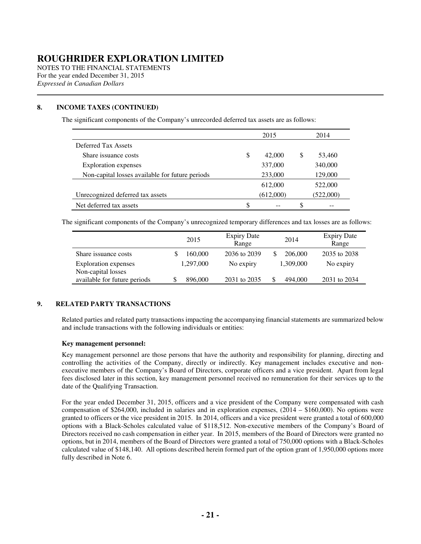NOTES TO THE FINANCIAL STATEMENTS For the year ended December 31, 2015 *Expressed in Canadian Dollars* 

### **8. INCOME TAXES (CONTINUED)**

 $\overline{a}$ 

The significant components of the Company's unrecorded deferred tax assets are as follows:

|                                                 |   | 2015      | 2014      |
|-------------------------------------------------|---|-----------|-----------|
| Deferred Tax Assets                             |   |           |           |
| Share issuance costs                            | S | 42,000    | 53,460    |
| <b>Exploration</b> expenses                     |   | 337,000   | 340,000   |
| Non-capital losses available for future periods |   | 233,000   | 129,000   |
|                                                 |   | 612,000   | 522,000   |
| Unrecognized deferred tax assets                |   | (612,000) | (522,000) |
| Net deferred tax assets                         | S |           |           |

The significant components of the Company's unrecognized temporary differences and tax losses are as follows:

|                                                    | 2015      | <b>Expiry Date</b><br>Range | 2014      | <b>Expiry Date</b><br>Range |
|----------------------------------------------------|-----------|-----------------------------|-----------|-----------------------------|
| Share issuance costs                               | 160,000   | 2036 to 2039                | 206,000   | 2035 to 2038                |
| <b>Exploration</b> expenses                        | 1,297,000 | No expiry                   | 1,309,000 | No expiry                   |
| Non-capital losses<br>available for future periods | 896,000   | 2031 to 2035                | 494,000   | 2031 to 2034                |

### **9. RELATED PARTY TRANSACTIONS**

Related parties and related party transactions impacting the accompanying financial statements are summarized below and include transactions with the following individuals or entities:

### **Key management personnel:**

Key management personnel are those persons that have the authority and responsibility for planning, directing and controlling the activities of the Company, directly or indirectly. Key management includes executive and nonexecutive members of the Company's Board of Directors, corporate officers and a vice president. Apart from legal fees disclosed later in this section, key management personnel received no remuneration for their services up to the date of the Qualifying Transaction.

For the year ended December 31, 2015, officers and a vice president of the Company were compensated with cash compensation of \$264,000, included in salaries and in exploration expenses, (2014 – \$160,000). No options were granted to officers or the vice president in 2015. In 2014, officers and a vice president were granted a total of 600,000 options with a Black-Scholes calculated value of \$118,512. Non-executive members of the Company's Board of Directors received no cash compensation in either year. In 2015, members of the Board of Directors were granted no options, but in 2014, members of the Board of Directors were granted a total of 750,000 options with a Black-Scholes calculated value of \$148,140. All options described herein formed part of the option grant of 1,950,000 options more fully described in Note 6.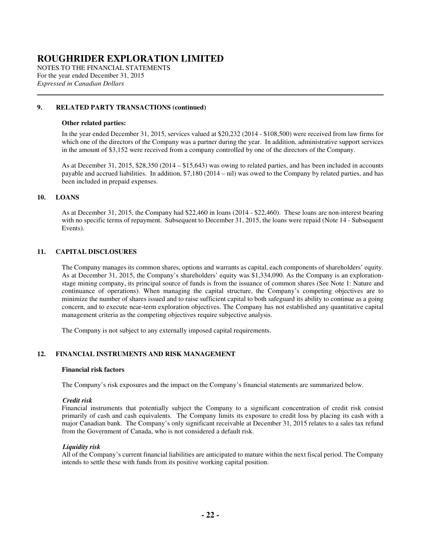NOTES TO THE FINANCIAL STATEMENTS For the year ended December 31, 2015 *Expressed in Canadian Dollars* 

### **9. RELATED PARTY TRANSACTIONS (continued)**

#### **Other related parties:**

In the year ended December 31, 2015, services valued at \$20,232 (2014 - \$108,500) were received from law firms for which one of the directors of the Company was a partner during the year. In addition, administrative support services in the amount of \$3,152 were received from a company controlled by one of the directors of the Company.

As at December 31, 2015, \$28,350 (2014 – \$15,643) was owing to related parties, and has been included in accounts payable and accrued liabilities. In addition, \$7,180 (2014 – nil) was owed to the Company by related parties, and has been included in prepaid expenses.

#### **10. LOANS**

 $\overline{a}$ 

As at December 31, 2015, the Company had \$22,460 in loans (2014 - \$22,460). These loans are non-interest bearing with no specific terms of repayment. Subsequent to December 31, 2015, the loans were repaid (Note 14 - Subsequent Events).

#### **11. CAPITAL DISCLOSURES**

The Company manages its common shares, options and warrants as capital, each components of shareholders' equity. As at December 31, 2015, the Company's shareholders' equity was \$1,334,090. As the Company is an explorationstage mining company, its principal source of funds is from the issuance of common shares (See Note 1: Nature and continuance of operations). When managing the capital structure, the Company's competing objectives are to minimize the number of shares issued and to raise sufficient capital to both safeguard its ability to continue as a going concern, and to execute near-term exploration objectives. The Company has not established any quantitative capital management criteria as the competing objectives require subjective analysis.

The Company is not subject to any externally imposed capital requirements.

#### **12. FINANCIAL INSTRUMENTS AND RISK MANAGEMENT**

#### **Financial risk factors**

The Company's risk exposures and the impact on the Company's financial statements are summarized below.

#### *Credit risk*

Financial instruments that potentially subject the Company to a significant concentration of credit risk consist primarily of cash and cash equivalents. The Company limits its exposure to credit loss by placing its cash with a major Canadian bank. The Company's only significant receivable at December 31, 2015 relates to a sales tax refund from the Government of Canada, who is not considered a default risk.

#### *Liquidity risk*

All of the Company's current financial liabilities are anticipated to mature within the next fiscal period. The Company intends to settle these with funds from its positive working capital position.